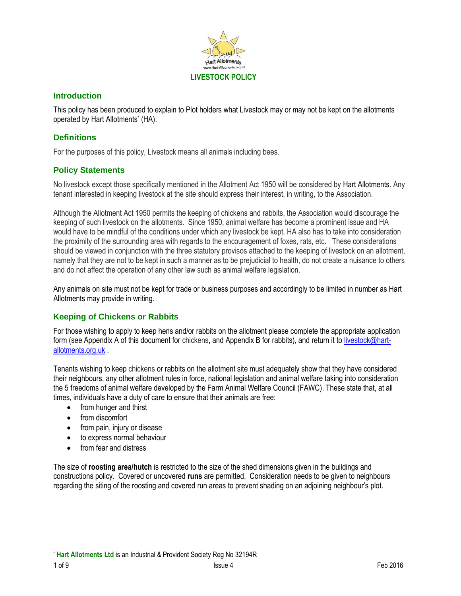

### **Introduction**

This policy has been produced to explain to Plot holders what Livestock may or may not be kept on the allotments operated by Hart Allotments\* (HA).

## **Definitions**

For the purposes of this policy, Livestock means all animals including bees.

## **Policy Statements**

No livestock except those specifically mentioned in the Allotment Act 1950 will be considered by Hart Allotments. Any tenant interested in keeping livestock at the site should express their interest, in writing, to the Association.

Although the Allotment Act 1950 permits the keeping of chickens and rabbits, the Association would discourage the keeping of such livestock on the allotments. Since 1950, animal welfare has become a prominent issue and HA would have to be mindful of the conditions under which any livestock be kept. HA also has to take into consideration the proximity of the surrounding area with regards to the encouragement of foxes, rats, etc. These considerations should be viewed in conjunction with the three statutory provisos attached to the keeping of livestock on an allotment, namely that they are not to be kept in such a manner as to be prejudicial to health, do not create a nuisance to others and do not affect the operation of any other law such as animal welfare legislation.

Any animals on site must not be kept for trade or business purposes and accordingly to be limited in number as Hart Allotments may provide in writing.

#### **Keeping of Chickens or Rabbits**

For those wishing to apply to keep hens and/or rabbits on the allotment please complete the appropriate application form (see Appendix A of this document for chickens, and Appendix B for rabbits), and return it to [livestock@hart](mailto:livestock@hart-allotments.org.uk)[allotments.org.uk](mailto:livestock@hart-allotments.org.uk) .

Tenants wishing to keep chickens or rabbits on the allotment site must adequately show that they have considered their neighbours, any other allotment rules in force, national legislation and animal welfare taking into consideration the 5 freedoms of animal welfare developed by the Farm Animal Welfare Council (FAWC). These state that, at all times, individuals have a duty of care to ensure that their animals are free:

- from hunger and thirst
- from discomfort
- from pain, injury or disease
- to express normal behaviour
- from fear and distress

The size of **roosting area/hutch** is restricted to the size of the shed dimensions given in the buildings and constructions policy. Covered or uncovered **runs** are permitted. Consideration needs to be given to neighbours regarding the siting of the roosting and covered run areas to prevent shading on an adjoining neighbour's plot.

<sup>\*</sup> **Hart Allotments Ltd** is an Industrial & Provident Society Reg No 32194R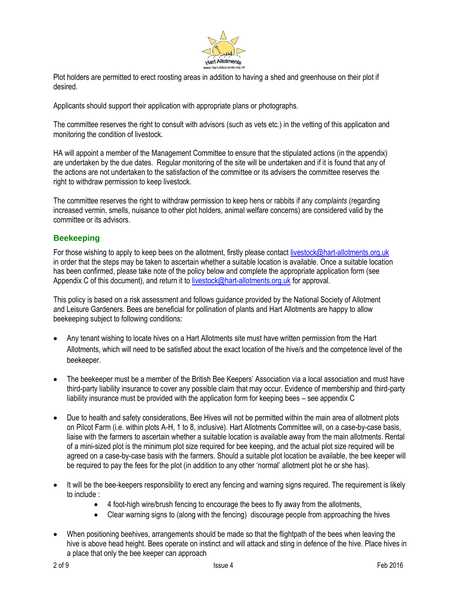

Plot holders are permitted to erect roosting areas in addition to having a shed and greenhouse on their plot if desired.

Applicants should support their application with appropriate plans or photographs.

The committee reserves the right to consult with advisors (such as vets etc.) in the vetting of this application and monitoring the condition of livestock.

HA will appoint a member of the Management Committee to ensure that the stipulated actions (in the appendix) are undertaken by the due dates. Regular monitoring of the site will be undertaken and if it is found that any of the actions are not undertaken to the satisfaction of the committee or its advisers the committee reserves the right to withdraw permission to keep livestock.

The committee reserves the right to withdraw permission to keep hens or rabbits if any *complaints* (regarding increased vermin, smells, nuisance to other plot holders, animal welfare concerns) are considered valid by the committee or its advisors.

## **Beekeeping**

For those wishing to apply to keep bees on the allotment, firstly please contact [livestock@hart-allotments.org.uk](mailto:livestock@hart-allotments.org.uk) in order that the steps may be taken to ascertain whether a suitable location is available. Once a suitable location has been confirmed, please take note of the policy below and complete the appropriate application form (see Appendix C of this document), and return it to [livestock@hart-allotments.org.uk](mailto:livestock@hart-allotments.org.uk) for approval.

This policy is based on a risk assessment and follows guidance provided by the National Society of Allotment and Leisure Gardeners. Bees are beneficial for pollination of plants and Hart Allotments are happy to allow beekeeping subject to following conditions:

- Any tenant wishing to locate hives on a Hart Allotments site must have written permission from the Hart Allotments, which will need to be satisfied about the exact location of the hive/s and the competence level of the beekeeper.
- The beekeeper must be a member of the British Bee Keepers' Association via a local association and must have third-party liability insurance to cover any possible claim that may occur. Evidence of membership and third-party liability insurance must be provided with the application form for keeping bees – see appendix C
- Due to health and safety considerations, Bee Hives will not be permitted within the main area of allotment plots on Pilcot Farm (i.e. within plots A-H, 1 to 8, inclusive). Hart Allotments Committee will, on a case-by-case basis, liaise with the farmers to ascertain whether a suitable location is available away from the main allotments. Rental of a mini-sized plot is the minimum plot size required for bee keeping, and the actual plot size required will be agreed on a case-by-case basis with the farmers. Should a suitable plot location be available, the bee keeper will be required to pay the fees for the plot (in addition to any other 'normal' allotment plot he or she has).
- It will be the bee-keepers responsibility to erect any fencing and warning signs required. The requirement is likely to include :
	- 4 foot-high wire/brush fencing to encourage the bees to fly away from the allotments,
	- Clear warning signs to (along with the fencing) discourage people from approaching the hives
- When positioning beehives, arrangements should be made so that the flightpath of the bees when leaving the hive is above head height. Bees operate on instinct and will attack and sting in defence of the hive. Place hives in a place that only the bee keeper can approach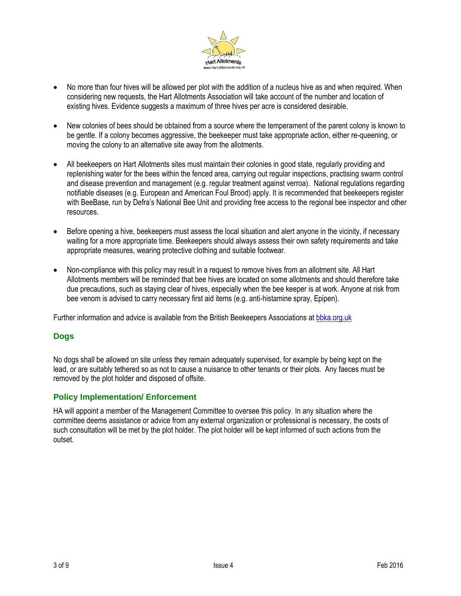

- No more than four hives will be allowed per plot with the addition of a nucleus hive as and when required. When considering new requests, the Hart Allotments Association will take account of the number and location of existing hives. Evidence suggests a maximum of three hives per acre is considered desirable.
- New colonies of bees should be obtained from a source where the temperament of the parent colony is known to be gentle. If a colony becomes aggressive, the beekeeper must take appropriate action, either re-queening, or moving the colony to an alternative site away from the allotments.
- All beekeepers on Hart Allotments sites must maintain their colonies in good state, regularly providing and replenishing water for the bees within the fenced area, carrying out regular inspections, practising swarm control and disease prevention and management (e.g. regular treatment against verroa). National regulations regarding notifiable diseases (e.g. European and American Foul Brood) apply. It is recommended that beekeepers register with BeeBase, run by Defra's National Bee Unit and providing free access to the regional bee inspector and other resources.
- Before opening a hive, beekeepers must assess the local situation and alert anyone in the vicinity, if necessary waiting for a more appropriate time. Beekeepers should always assess their own safety requirements and take appropriate measures, wearing protective clothing and suitable footwear.
- Non-compliance with this policy may result in a request to remove hives from an allotment site. All Hart Allotments members will be reminded that bee hives are located on some allotments and should therefore take due precautions, such as staying clear of hives, especially when the bee keeper is at work. Anyone at risk from bee venom is advised to carry necessary first aid items (e.g. anti-histamine spray, Epipen).

Further information and advice is available from the British Beekeepers Associations at [bbka.org.uk](http://www.bbka.org.uk/)

#### **Dogs**

No dogs shall be allowed on site unless they remain adequately supervised, for example by being kept on the lead, or are suitably tethered so as not to cause a nuisance to other tenants or their plots. Any faeces must be removed by the plot holder and disposed of offsite.

#### **Policy Implementation/ Enforcement**

HA will appoint a member of the Management Committee to oversee this policy. In any situation where the committee deems assistance or advice from any external organization or professional is necessary, the costs of such consultation will be met by the plot holder. The plot holder will be kept informed of such actions from the outset.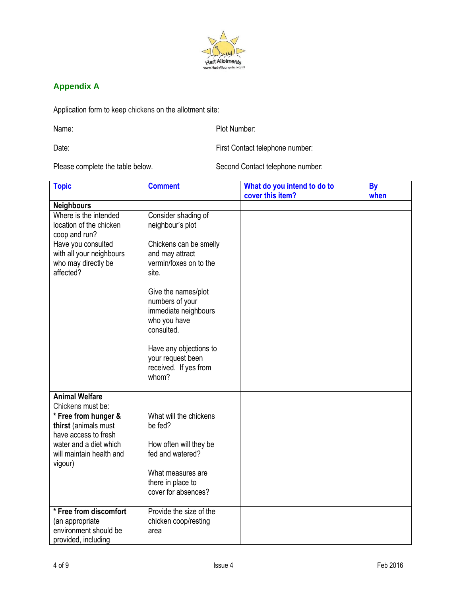

# **Appendix A**

Application form to keep chickens on the allotment site:

Name: Name: Plot Number:

Date: Date: First Contact telephone number:

Please complete the table below. Second Contact telephone number:

| <b>Topic</b>                                                                                   | <b>Comment</b>                                                                               | What do you intend to do to<br>cover this item? | <b>By</b><br>when |
|------------------------------------------------------------------------------------------------|----------------------------------------------------------------------------------------------|-------------------------------------------------|-------------------|
| <b>Neighbours</b>                                                                              |                                                                                              |                                                 |                   |
| Where is the intended<br>location of the chicken<br>coop and run?                              | Consider shading of<br>neighbour's plot                                                      |                                                 |                   |
| Have you consulted<br>with all your neighbours<br>who may directly be<br>affected?             | Chickens can be smelly<br>and may attract<br>vermin/foxes on to the<br>site.                 |                                                 |                   |
|                                                                                                | Give the names/plot<br>numbers of your<br>immediate neighbours<br>who you have<br>consulted. |                                                 |                   |
|                                                                                                | Have any objections to<br>your request been<br>received. If yes from<br>whom?                |                                                 |                   |
| <b>Animal Welfare</b><br>Chickens must be:                                                     |                                                                                              |                                                 |                   |
| * Free from hunger &<br>thirst (animals must<br>have access to fresh<br>water and a diet which | What will the chickens<br>be fed?<br>How often will they be                                  |                                                 |                   |
| will maintain health and<br>vigour)                                                            | fed and watered?                                                                             |                                                 |                   |
|                                                                                                | What measures are<br>there in place to<br>cover for absences?                                |                                                 |                   |
| * Free from discomfort<br>(an appropriate<br>environment should be<br>provided, including      | Provide the size of the<br>chicken coop/resting<br>area                                      |                                                 |                   |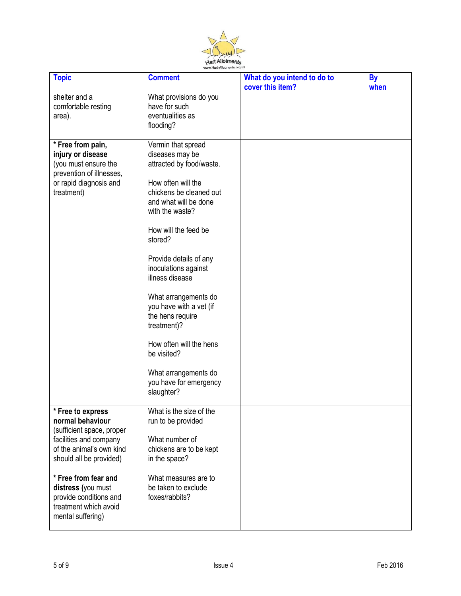

| <b>Topic</b>                                                                                                                                                            | <b>Comment</b>                                                                                                                                                                                                                                                                                                                                                                                                                                                         | What do you intend to do to<br>cover this item? | <b>By</b><br>when |
|-------------------------------------------------------------------------------------------------------------------------------------------------------------------------|------------------------------------------------------------------------------------------------------------------------------------------------------------------------------------------------------------------------------------------------------------------------------------------------------------------------------------------------------------------------------------------------------------------------------------------------------------------------|-------------------------------------------------|-------------------|
| shelter and a<br>comfortable resting<br>area).                                                                                                                          | What provisions do you<br>have for such<br>eventualities as<br>flooding?                                                                                                                                                                                                                                                                                                                                                                                               |                                                 |                   |
| * Free from pain,<br>injury or disease<br>(you must ensure the<br>prevention of illnesses,<br>or rapid diagnosis and<br>treatment)                                      | Vermin that spread<br>diseases may be<br>attracted by food/waste.<br>How often will the<br>chickens be cleaned out<br>and what will be done<br>with the waste?<br>How will the feed be<br>stored?<br>Provide details of any<br>inoculations against<br>illness disease<br>What arrangements do<br>you have with a vet (if<br>the hens require<br>treatment)?<br>How often will the hens<br>be visited?<br>What arrangements do<br>you have for emergency<br>slaughter? |                                                 |                   |
| $\overline{\text{F}}$ Free to express<br>normal behaviour<br>(sufficient space, proper<br>facilities and company<br>of the animal's own kind<br>should all be provided) | What is the size of the<br>run to be provided<br>What number of<br>chickens are to be kept<br>in the space?                                                                                                                                                                                                                                                                                                                                                            |                                                 |                   |
| * Free from fear and<br>distress (you must<br>provide conditions and<br>treatment which avoid<br>mental suffering)                                                      | What measures are to<br>be taken to exclude<br>foxes/rabbits?                                                                                                                                                                                                                                                                                                                                                                                                          |                                                 |                   |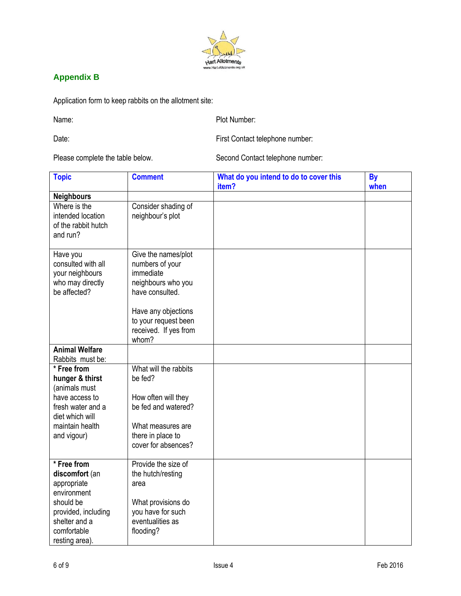

# **Appendix B**

Application form to keep rabbits on the allotment site:

Name: Plot Number:

Date: Date: First Contact telephone number:

Please complete the table below. Second Contact telephone number:

| <b>Topic</b>                                                                          | <b>Comment</b>                                                                               | What do you intend to do to cover this<br>item? | <b>By</b><br>when |
|---------------------------------------------------------------------------------------|----------------------------------------------------------------------------------------------|-------------------------------------------------|-------------------|
| <b>Neighbours</b>                                                                     |                                                                                              |                                                 |                   |
| Where is the<br>intended location<br>of the rabbit hutch<br>and run?                  | Consider shading of<br>neighbour's plot                                                      |                                                 |                   |
| Have you<br>consulted with all<br>your neighbours<br>who may directly<br>be affected? | Give the names/plot<br>numbers of your<br>immediate<br>neighbours who you<br>have consulted. |                                                 |                   |
|                                                                                       | Have any objections<br>to your request been<br>received. If yes from<br>whom?                |                                                 |                   |
| <b>Animal Welfare</b><br>Rabbits must be:                                             |                                                                                              |                                                 |                   |
| * Free from<br>hunger & thirst<br>(animals must                                       | What will the rabbits<br>be fed?                                                             |                                                 |                   |
| have access to<br>fresh water and a<br>diet which will                                | How often will they<br>be fed and watered?                                                   |                                                 |                   |
| maintain health<br>and vigour)                                                        | What measures are<br>there in place to<br>cover for absences?                                |                                                 |                   |
| * Free from<br>discomfort (an<br>appropriate<br>environment                           | Provide the size of<br>the hutch/resting<br>area                                             |                                                 |                   |
| should be<br>provided, including<br>shelter and a<br>comfortable<br>resting area).    | What provisions do<br>you have for such<br>eventualities as<br>flooding?                     |                                                 |                   |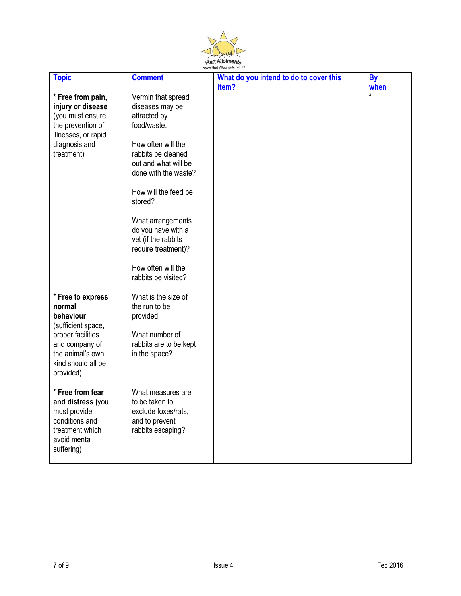

| <b>Topic</b>                                                                                                                                                 | <b>Comment</b>                                                                                                                                                                                                                                                                                                                            | What do you intend to do to cover this<br>item? | <b>By</b><br>when |
|--------------------------------------------------------------------------------------------------------------------------------------------------------------|-------------------------------------------------------------------------------------------------------------------------------------------------------------------------------------------------------------------------------------------------------------------------------------------------------------------------------------------|-------------------------------------------------|-------------------|
| * Free from pain,<br>injury or disease<br>(you must ensure<br>the prevention of<br>illnesses, or rapid<br>diagnosis and<br>treatment)                        | Vermin that spread<br>diseases may be<br>attracted by<br>food/waste.<br>How often will the<br>rabbits be cleaned<br>out and what will be<br>done with the waste?<br>How will the feed be<br>stored?<br>What arrangements<br>do you have with a<br>vet (if the rabbits<br>require treatment)?<br>How often will the<br>rabbits be visited? |                                                 | $\overline{f}$    |
| * Free to express<br>normal<br>behaviour<br>(sufficient space,<br>proper facilities<br>and company of<br>the animal's own<br>kind should all be<br>provided) | What is the size of<br>the run to be<br>provided<br>What number of<br>rabbits are to be kept<br>in the space?                                                                                                                                                                                                                             |                                                 |                   |
| * Free from fear<br>and distress (you<br>must provide<br>conditions and<br>treatment which<br>avoid mental<br>suffering)                                     | What measures are<br>to be taken to<br>exclude foxes/rats,<br>and to prevent<br>rabbits escaping?                                                                                                                                                                                                                                         |                                                 |                   |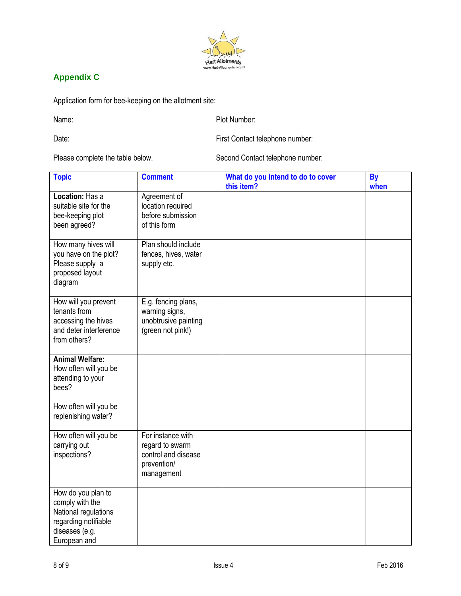

# **Appendix C**

Application form for bee-keeping on the allotment site:

Name: Plot Number:

Date: Date: First Contact telephone number:

Please complete the table below. Second Contact telephone number:

| <b>Topic</b>                                                                                                                  | <b>Comment</b>                                                                           | What do you intend to do to cover<br>this item? | <b>By</b><br>when |
|-------------------------------------------------------------------------------------------------------------------------------|------------------------------------------------------------------------------------------|-------------------------------------------------|-------------------|
| Location: Has a<br>suitable site for the<br>bee-keeping plot<br>been agreed?                                                  | Agreement of<br>location required<br>before submission<br>of this form                   |                                                 |                   |
| How many hives will<br>you have on the plot?<br>Please supply a<br>proposed layout<br>diagram                                 | Plan should include<br>fences, hives, water<br>supply etc.                               |                                                 |                   |
| How will you prevent<br>tenants from<br>accessing the hives<br>and deter interference<br>from others?                         | E.g. fencing plans,<br>warning signs,<br>unobtrusive painting<br>(green not pink!)       |                                                 |                   |
| <b>Animal Welfare:</b><br>How often will you be<br>attending to your<br>bees?<br>How often will you be<br>replenishing water? |                                                                                          |                                                 |                   |
| How often will you be<br>carrying out<br>inspections?                                                                         | For instance with<br>regard to swarm<br>control and disease<br>prevention/<br>management |                                                 |                   |
| How do you plan to<br>comply with the<br>National regulations<br>regarding notifiable<br>diseases (e.g.<br>European and       |                                                                                          |                                                 |                   |